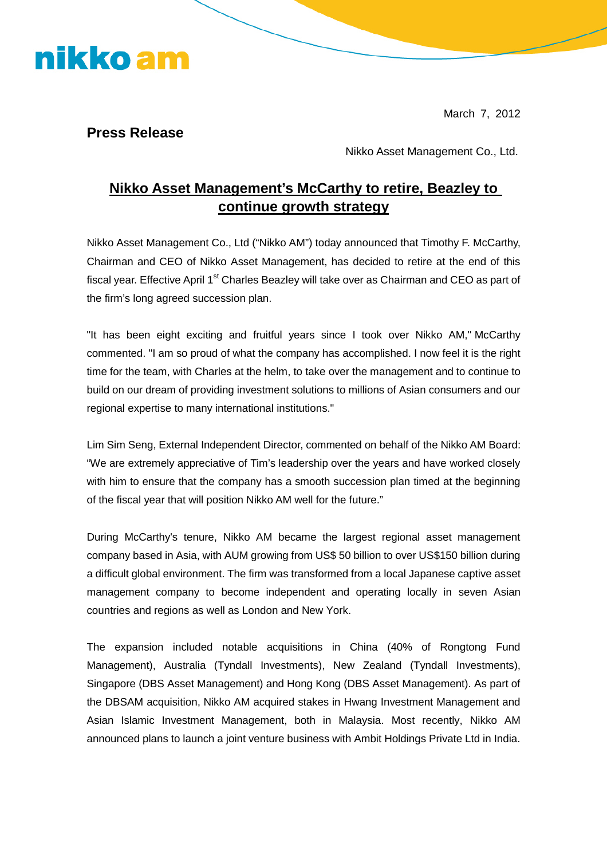March 7, 2012

**Press Release**

nikko am

Nikko Asset Management Co., Ltd.

## **Nikko Asset Management's McCarthy to retire, Beazley to continue growth strategy**

Nikko Asset Management Co., Ltd ("Nikko AM") today announced that Timothy F. McCarthy, Chairman and CEO of Nikko Asset Management, has decided to retire at the end of this fiscal year. Effective April 1<sup>st</sup> Charles Beazley will take over as Chairman and CEO as part of the firm's long agreed succession plan.

"It has been eight exciting and fruitful years since I took over Nikko AM," McCarthy commented. "I am so proud of what the company has accomplished. I now feel it is the right time for the team, with Charles at the helm, to take over the management and to continue to build on our dream of providing investment solutions to millions of Asian consumers and our regional expertise to many international institutions."

Lim Sim Seng, External Independent Director, commented on behalf of the Nikko AM Board: "We are extremely appreciative of Tim's leadership over the years and have worked closely with him to ensure that the company has a smooth succession plan timed at the beginning of the fiscal year that will position Nikko AM well for the future."

During McCarthy's tenure, Nikko AM became the largest regional asset management company based in Asia, with AUM growing from US\$ 50 billion to over US\$150 billion during a difficult global environment. The firm was transformed from a local Japanese captive asset management company to become independent and operating locally in seven Asian countries and regions as well as London and New York.

The expansion included notable acquisitions in China (40% of Rongtong Fund Management), Australia (Tyndall Investments), New Zealand (Tyndall Investments), Singapore (DBS Asset Management) and Hong Kong (DBS Asset Management). As part of the DBSAM acquisition, Nikko AM acquired stakes in Hwang Investment Management and Asian Islamic Investment Management, both in Malaysia. Most recently, Nikko AM announced plans to launch a joint venture business with Ambit Holdings Private Ltd in India.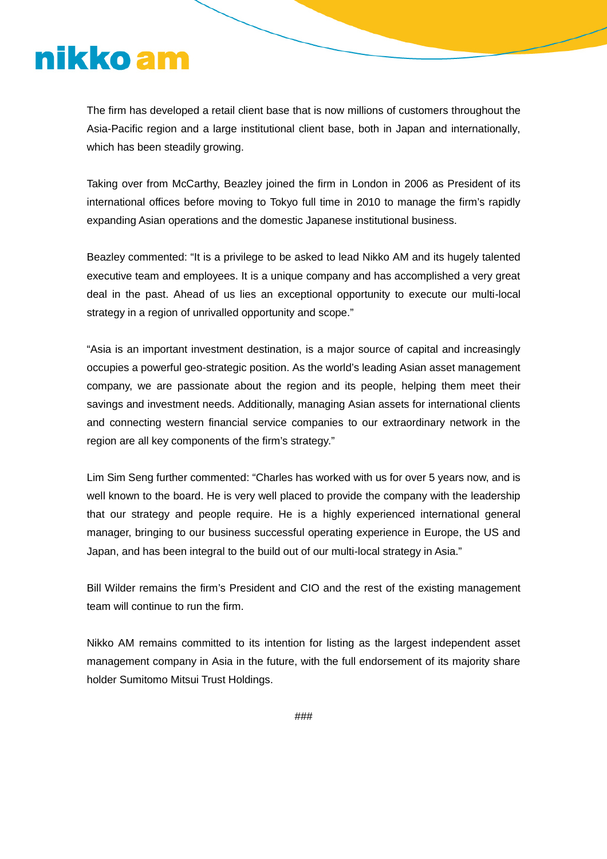## nikko am

The firm has developed a retail client base that is now millions of customers throughout the Asia-Pacific region and a large institutional client base, both in Japan and internationally, which has been steadily growing.

Taking over from McCarthy, Beazley joined the firm in London in 2006 as President of its international offices before moving to Tokyo full time in 2010 to manage the firm's rapidly expanding Asian operations and the domestic Japanese institutional business.

Beazley commented: "It is a privilege to be asked to lead Nikko AM and its hugely talented executive team and employees. It is a unique company and has accomplished a very great deal in the past. Ahead of us lies an exceptional opportunity to execute our multi-local strategy in a region of unrivalled opportunity and scope."

"Asia is an important investment destination, is a major source of capital and increasingly occupies a powerful geo-strategic position. As the world's leading Asian asset management company, we are passionate about the region and its people, helping them meet their savings and investment needs. Additionally, managing Asian assets for international clients and connecting western financial service companies to our extraordinary network in the region are all key components of the firm's strategy."

Lim Sim Seng further commented: "Charles has worked with us for over 5 years now, and is well known to the board. He is very well placed to provide the company with the leadership that our strategy and people require. He is a highly experienced international general manager, bringing to our business successful operating experience in Europe, the US and Japan, and has been integral to the build out of our multi-local strategy in Asia."

Bill Wilder remains the firm's President and CIO and the rest of the existing management team will continue to run the firm.

Nikko AM remains committed to its intention for listing as the largest independent asset management company in Asia in the future, with the full endorsement of its majority share holder Sumitomo Mitsui Trust Holdings.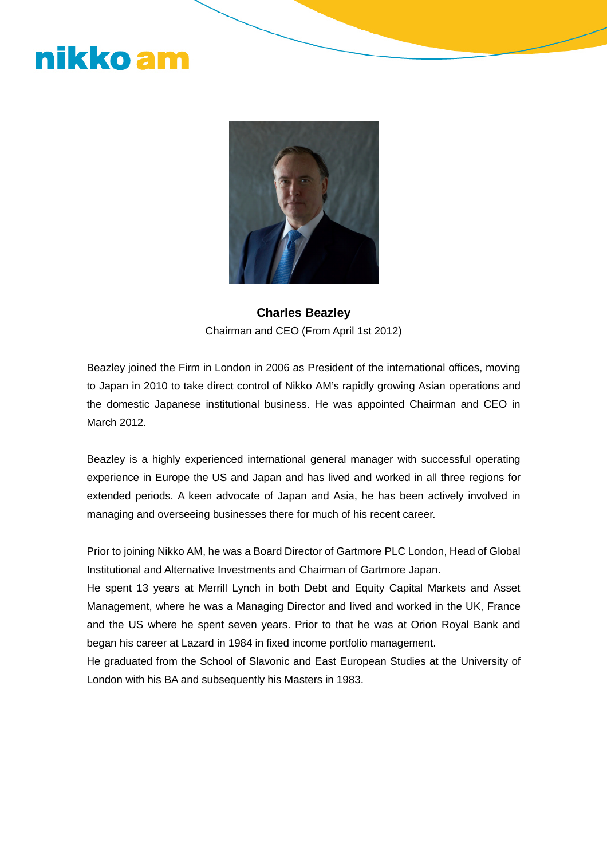## nikko am



**Charles Beazley** Chairman and CEO (From April 1st 2012)

Beazley joined the Firm in London in 2006 as President of the international offices, moving to Japan in 2010 to take direct control of Nikko AM's rapidly growing Asian operations and the domestic Japanese institutional business. He was appointed Chairman and CEO in March 2012.

Beazley is a highly experienced international general manager with successful operating experience in Europe the US and Japan and has lived and worked in all three regions for extended periods. A keen advocate of Japan and Asia, he has been actively involved in managing and overseeing businesses there for much of his recent career.

Prior to joining Nikko AM, he was a Board Director of Gartmore PLC London, Head of Global Institutional and Alternative Investments and Chairman of Gartmore Japan.

He spent 13 years at Merrill Lynch in both Debt and Equity Capital Markets and Asset Management, where he was a Managing Director and lived and worked in the UK, France and the US where he spent seven years. Prior to that he was at Orion Royal Bank and began his career at Lazard in 1984 in fixed income portfolio management.

He graduated from the School of Slavonic and East European Studies at the University of London with his BA and subsequently his Masters in 1983.